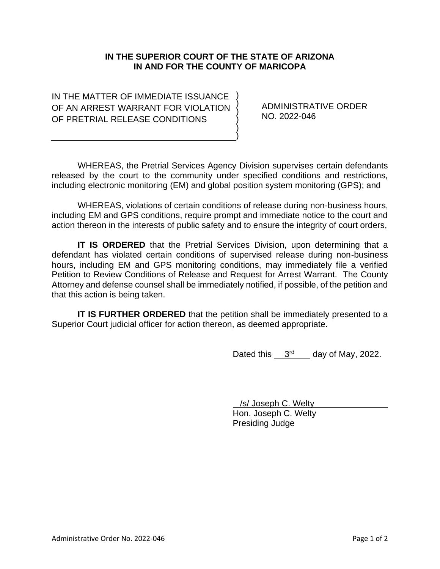## **IN THE SUPERIOR COURT OF THE STATE OF ARIZONA IN AND FOR THE COUNTY OF MARICOPA**

) ) ) ) ) )

IN THE MATTER OF IMMEDIATE ISSUANCE OF AN ARREST WARRANT FOR VIOLATION OF PRETRIAL RELEASE CONDITIONS

ADMINISTRATIVE ORDER NO. 2022-046

WHEREAS, the Pretrial Services Agency Division supervises certain defendants released by the court to the community under specified conditions and restrictions, including electronic monitoring (EM) and global position system monitoring (GPS); and

WHEREAS, violations of certain conditions of release during non-business hours, including EM and GPS conditions, require prompt and immediate notice to the court and action thereon in the interests of public safety and to ensure the integrity of court orders,

**IT IS ORDERED** that the Pretrial Services Division, upon determining that a defendant has violated certain conditions of supervised release during non-business hours, including EM and GPS monitoring conditions, may immediately file a verified Petition to Review Conditions of Release and Request for Arrest Warrant. The County Attorney and defense counsel shall be immediately notified, if possible, of the petition and that this action is being taken.

**IT IS FURTHER ORDERED** that the petition shall be immediately presented to a Superior Court judicial officer for action thereon, as deemed appropriate.

Dated this  $3<sup>rd</sup>$  day of May, 2022.

 /s/ Joseph C. Welty Hon. Joseph C. Welty Presiding Judge